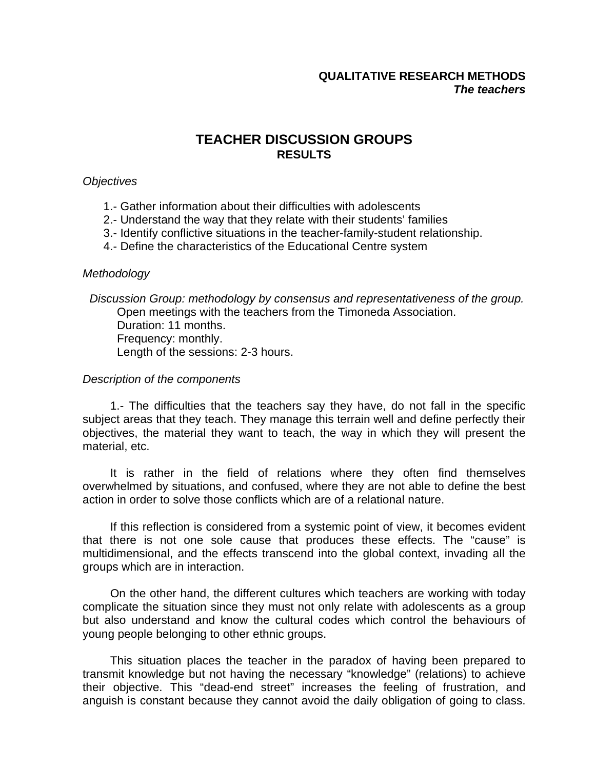# **QUALITATIVE RESEARCH METHODS**  *The teachers*

# **TEACHER DISCUSSION GROUPS RESULTS**

## *Objectives*

- 1.- Gather information about their difficulties with adolescents
- 2.- Understand the way that they relate with their students' families
- 3.- Identify conflictive situations in the teacher-family-student relationship.
- 4.- Define the characteristics of the Educational Centre system

### *Methodology*

*Discussion Group: methodology by consensus and representativeness of the group.* Open meetings with the teachers from the Timoneda Association. Duration: 11 months. Frequency: monthly. Length of the sessions: 2-3 hours.

### *Description of the components*

1.- The difficulties that the teachers say they have, do not fall in the specific subject areas that they teach. They manage this terrain well and define perfectly their objectives, the material they want to teach, the way in which they will present the material, etc.

It is rather in the field of relations where they often find themselves overwhelmed by situations, and confused, where they are not able to define the best action in order to solve those conflicts which are of a relational nature.

If this reflection is considered from a systemic point of view, it becomes evident that there is not one sole cause that produces these effects. The "cause" is multidimensional, and the effects transcend into the global context, invading all the groups which are in interaction.

On the other hand, the different cultures which teachers are working with today complicate the situation since they must not only relate with adolescents as a group but also understand and know the cultural codes which control the behaviours of young people belonging to other ethnic groups.

This situation places the teacher in the paradox of having been prepared to transmit knowledge but not having the necessary "knowledge" (relations) to achieve their objective. This "dead-end street" increases the feeling of frustration, and anguish is constant because they cannot avoid the daily obligation of going to class.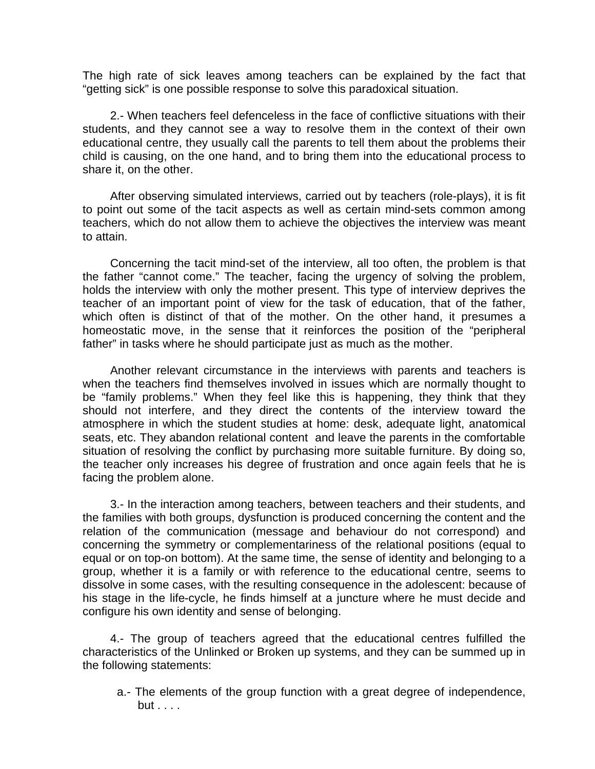The high rate of sick leaves among teachers can be explained by the fact that "getting sick" is one possible response to solve this paradoxical situation.

2.- When teachers feel defenceless in the face of conflictive situations with their students, and they cannot see a way to resolve them in the context of their own educational centre, they usually call the parents to tell them about the problems their child is causing, on the one hand, and to bring them into the educational process to share it, on the other.

After observing simulated interviews, carried out by teachers (role-plays), it is fit to point out some of the tacit aspects as well as certain mind-sets common among teachers, which do not allow them to achieve the objectives the interview was meant to attain.

Concerning the tacit mind-set of the interview, all too often, the problem is that the father "cannot come." The teacher, facing the urgency of solving the problem, holds the interview with only the mother present. This type of interview deprives the teacher of an important point of view for the task of education, that of the father, which often is distinct of that of the mother. On the other hand, it presumes a homeostatic move, in the sense that it reinforces the position of the "peripheral father" in tasks where he should participate just as much as the mother.

Another relevant circumstance in the interviews with parents and teachers is when the teachers find themselves involved in issues which are normally thought to be "family problems." When they feel like this is happening, they think that they should not interfere, and they direct the contents of the interview toward the atmosphere in which the student studies at home: desk, adequate light, anatomical seats, etc. They abandon relational content and leave the parents in the comfortable situation of resolving the conflict by purchasing more suitable furniture. By doing so, the teacher only increases his degree of frustration and once again feels that he is facing the problem alone.

3.- In the interaction among teachers, between teachers and their students, and the families with both groups, dysfunction is produced concerning the content and the relation of the communication (message and behaviour do not correspond) and concerning the symmetry or complementariness of the relational positions (equal to equal or on top-on bottom). At the same time, the sense of identity and belonging to a group, whether it is a family or with reference to the educational centre, seems to dissolve in some cases, with the resulting consequence in the adolescent: because of his stage in the life-cycle, he finds himself at a juncture where he must decide and configure his own identity and sense of belonging.

4.- The group of teachers agreed that the educational centres fulfilled the characteristics of the Unlinked or Broken up systems, and they can be summed up in the following statements:

a.- The elements of the group function with a great degree of independence, but . . . .